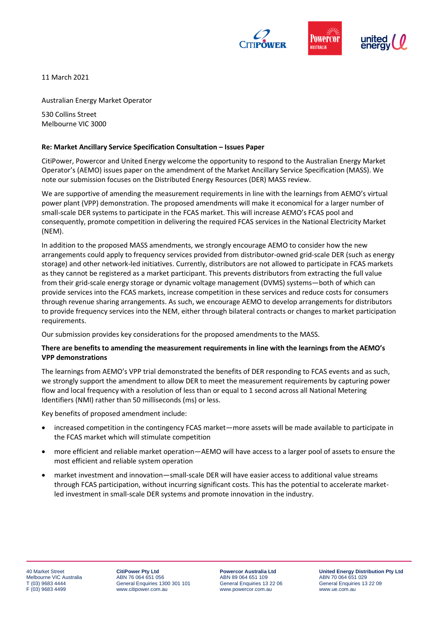

11 March 2021

Australian Energy Market Operator

530 Collins Street Melbourne VIC 3000

## **Re: Market Ancillary Service Specification Consultation – Issues Paper**

CitiPower, Powercor and United Energy welcome the opportunity to respond to the Australian Energy Market Operator's (AEMO) issues paper on the amendment of the Market Ancillary Service Specification (MASS). We note our submission focuses on the Distributed Energy Resources (DER) MASS review.

We are supportive of amending the measurement requirements in line with the learnings from AEMO's virtual power plant (VPP) demonstration. The proposed amendments will make it economical for a larger number of small-scale DER systems to participate in the FCAS market. This will increase AEMO's FCAS pool and consequently, promote competition in delivering the required FCAS services in the National Electricity Market (NEM).

In addition to the proposed MASS amendments, we strongly encourage AEMO to consider how the new arrangements could apply to frequency services provided from distributor-owned grid-scale DER (such as energy storage) and other network-led initiatives. Currently, distributors are not allowed to participate in FCAS markets as they cannot be registered as a market participant. This prevents distributors from extracting the full value from their grid-scale energy storage or dynamic voltage management (DVMS) systems—both of which can provide services into the FCAS markets, increase competition in these services and reduce costs for consumers through revenue sharing arrangements. As such, we encourage AEMO to develop arrangements for distributors to provide frequency services into the NEM, either through bilateral contracts or changes to market participation requirements.

Our submission provides key considerations for the proposed amendments to the MASS.

## **There are benefits to amending the measurement requirements in line with the learnings from the AEMO's VPP demonstrations**

The learnings from AEMO's VPP trial demonstrated the benefits of DER responding to FCAS events and as such, we strongly support the amendment to allow DER to meet the measurement requirements by capturing power flow and local frequency with a resolution of less than or equal to 1 second across all National Metering Identifiers (NMI) rather than 50 milliseconds (ms) or less.

Key benefits of proposed amendment include:

- increased competition in the contingency FCAS market—more assets will be made available to participate in the FCAS market which will stimulate competition
- more efficient and reliable market operation—AEMO will have access to a larger pool of assets to ensure the most efficient and reliable system operation
- market investment and innovation—small-scale DER will have easier access to additional value streams through FCAS participation, without incurring significant costs. This has the potential to accelerate marketled investment in small-scale DER systems and promote innovation in the industry.

**CitiPower Pty Ltd** ABN 76 064 651 056 General Enquiries 1300 301 101 www.citipower.com.au

**Powercor Australia Ltd** ABN 89 064 651 109 General Enquiries 13 22 06 www.powercor.com.au

**United Energy Distribution Pty Ltd** ABN 70 064 651 029 General Enquiries 13 22 09 www.ue.com.au